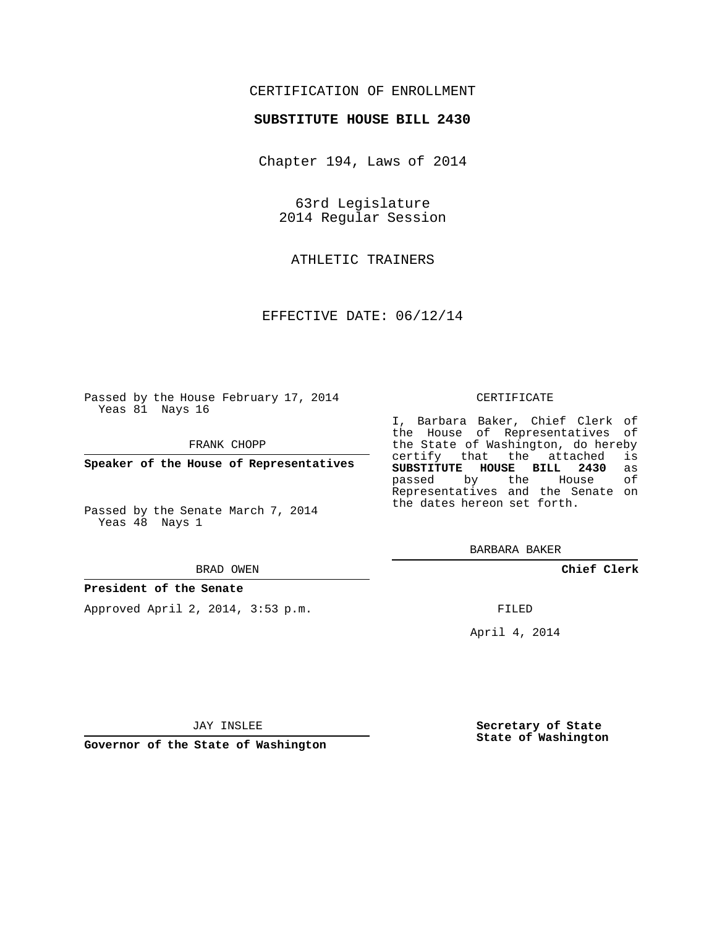## CERTIFICATION OF ENROLLMENT

### **SUBSTITUTE HOUSE BILL 2430**

Chapter 194, Laws of 2014

63rd Legislature 2014 Regular Session

ATHLETIC TRAINERS

EFFECTIVE DATE: 06/12/14

Passed by the House February 17, 2014 Yeas 81 Nays 16

FRANK CHOPP

**Speaker of the House of Representatives**

Passed by the Senate March 7, 2014 Yeas 48 Nays 1

#### BRAD OWEN

#### **President of the Senate**

Approved April 2, 2014, 3:53 p.m.

#### CERTIFICATE

I, Barbara Baker, Chief Clerk of the House of Representatives of the State of Washington, do hereby<br>certify that the attached is certify that the attached **SUBSTITUTE HOUSE BILL 2430** as passed by the Representatives and the Senate on the dates hereon set forth.

BARBARA BAKER

**Chief Clerk**

FILED

April 4, 2014

JAY INSLEE

**Governor of the State of Washington**

**Secretary of State State of Washington**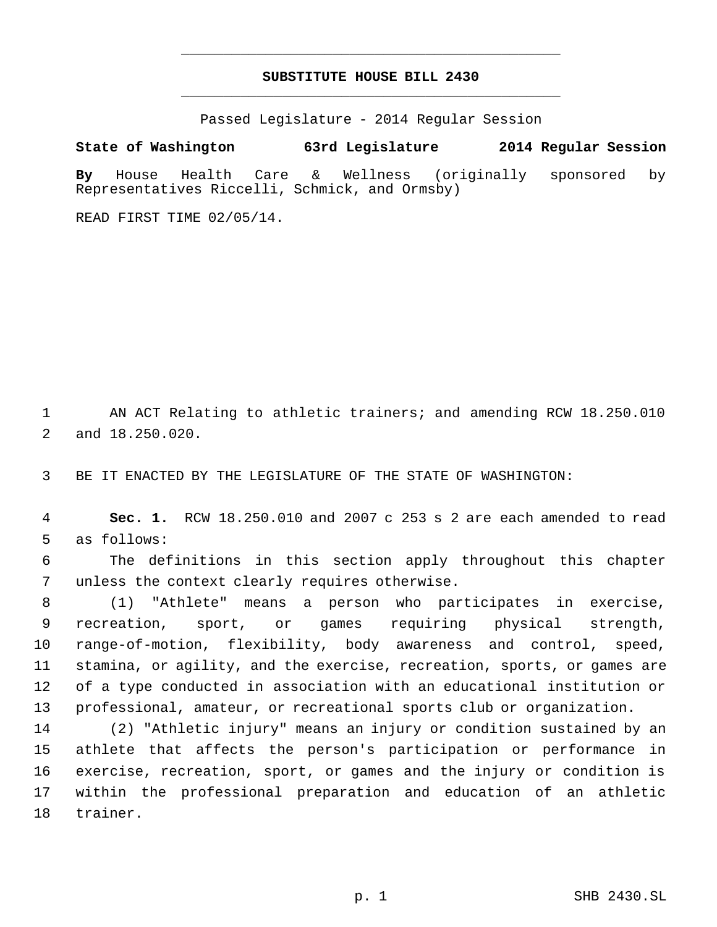# **SUBSTITUTE HOUSE BILL 2430** \_\_\_\_\_\_\_\_\_\_\_\_\_\_\_\_\_\_\_\_\_\_\_\_\_\_\_\_\_\_\_\_\_\_\_\_\_\_\_\_\_\_\_\_\_

\_\_\_\_\_\_\_\_\_\_\_\_\_\_\_\_\_\_\_\_\_\_\_\_\_\_\_\_\_\_\_\_\_\_\_\_\_\_\_\_\_\_\_\_\_

Passed Legislature - 2014 Regular Session

**State of Washington 63rd Legislature 2014 Regular Session**

**By** House Health Care & Wellness (originally sponsored by Representatives Riccelli, Schmick, and Ormsby)

READ FIRST TIME 02/05/14.

 AN ACT Relating to athletic trainers; and amending RCW 18.250.010 and 18.250.020.

BE IT ENACTED BY THE LEGISLATURE OF THE STATE OF WASHINGTON:

 **Sec. 1.** RCW 18.250.010 and 2007 c 253 s 2 are each amended to read as follows:

 The definitions in this section apply throughout this chapter unless the context clearly requires otherwise.

 (1) "Athlete" means a person who participates in exercise, recreation, sport, or games requiring physical strength, range-of-motion, flexibility, body awareness and control, speed, stamina, or agility, and the exercise, recreation, sports, or games are of a type conducted in association with an educational institution or professional, amateur, or recreational sports club or organization.

 (2) "Athletic injury" means an injury or condition sustained by an athlete that affects the person's participation or performance in exercise, recreation, sport, or games and the injury or condition is within the professional preparation and education of an athletic trainer.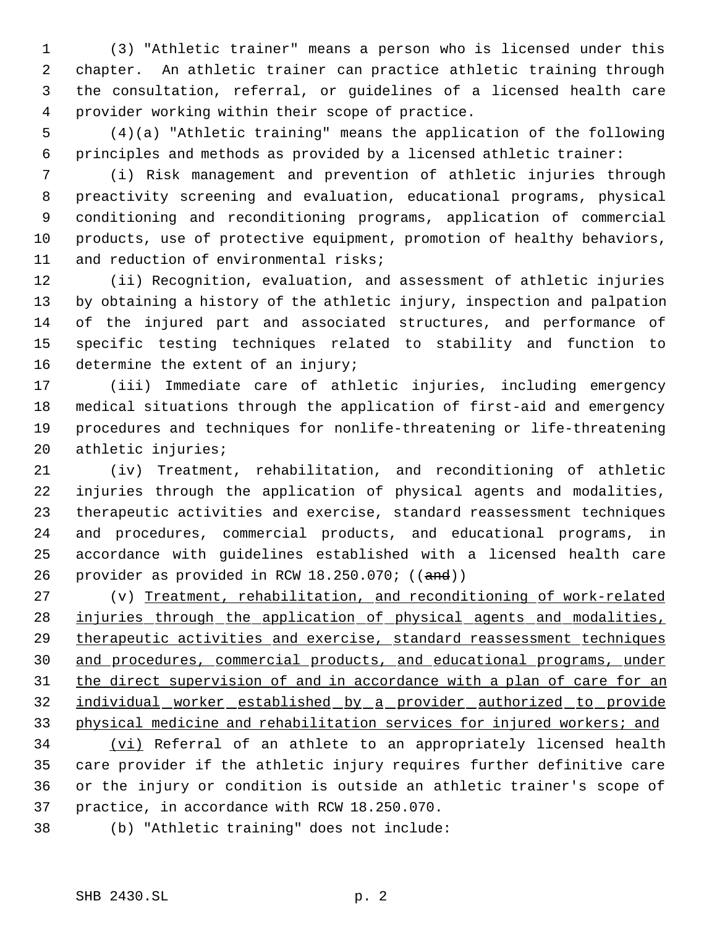(3) "Athletic trainer" means a person who is licensed under this chapter. An athletic trainer can practice athletic training through the consultation, referral, or guidelines of a licensed health care provider working within their scope of practice.

 (4)(a) "Athletic training" means the application of the following principles and methods as provided by a licensed athletic trainer:

 (i) Risk management and prevention of athletic injuries through preactivity screening and evaluation, educational programs, physical conditioning and reconditioning programs, application of commercial products, use of protective equipment, promotion of healthy behaviors, and reduction of environmental risks;

 (ii) Recognition, evaluation, and assessment of athletic injuries by obtaining a history of the athletic injury, inspection and palpation of the injured part and associated structures, and performance of specific testing techniques related to stability and function to 16 determine the extent of an injury;

 (iii) Immediate care of athletic injuries, including emergency medical situations through the application of first-aid and emergency procedures and techniques for nonlife-threatening or life-threatening athletic injuries;

 (iv) Treatment, rehabilitation, and reconditioning of athletic injuries through the application of physical agents and modalities, therapeutic activities and exercise, standard reassessment techniques and procedures, commercial products, and educational programs, in accordance with guidelines established with a licensed health care 26 provider as provided in RCW 18.250.070; ((and))

 (v) Treatment, rehabilitation, and reconditioning of work-related injuries through the application of physical agents and modalities, 29 therapeutic activities and exercise, standard reassessment techniques and procedures, commercial products, and educational programs, under 31 the direct supervision of and in accordance with a plan of care for an individual worker established by a provider authorized to provide 33 physical medicine and rehabilitation services for injured workers; and

34 (vi) Referral of an athlete to an appropriately licensed health care provider if the athletic injury requires further definitive care or the injury or condition is outside an athletic trainer's scope of practice, in accordance with RCW 18.250.070.

(b) "Athletic training" does not include: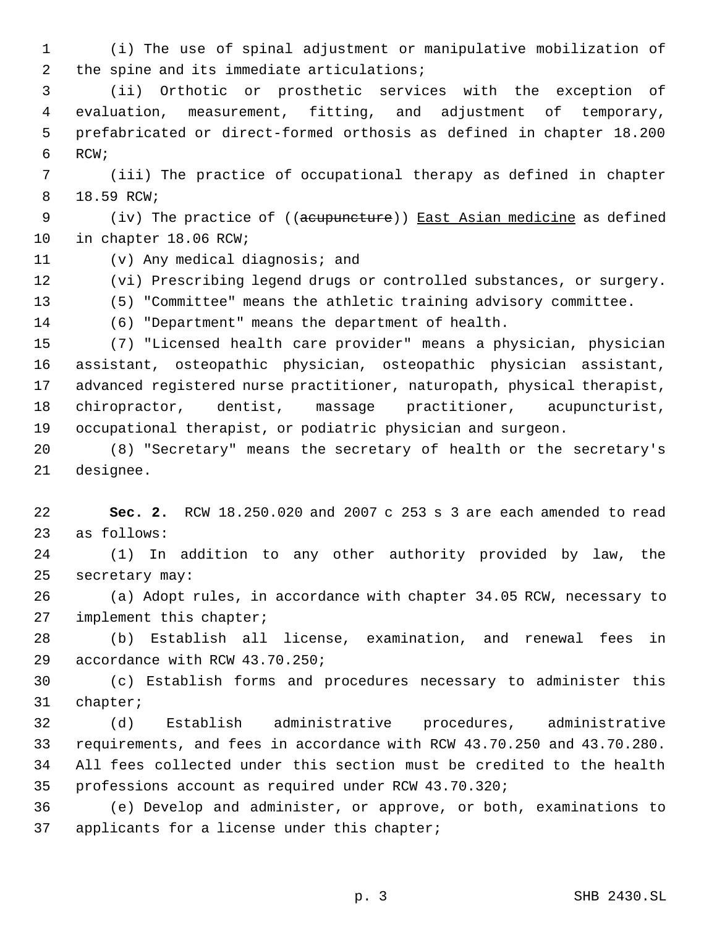(i) The use of spinal adjustment or manipulative mobilization of 2 the spine and its immediate articulations;

 (ii) Orthotic or prosthetic services with the exception of evaluation, measurement, fitting, and adjustment of temporary, prefabricated or direct-formed orthosis as defined in chapter 18.200 RCW;

 (iii) The practice of occupational therapy as defined in chapter 18.59 RCW;

9 (iv) The practice of ((acupuncture)) East Asian medicine as defined in chapter 18.06 RCW;

(v) Any medical diagnosis; and

(vi) Prescribing legend drugs or controlled substances, or surgery.

(5) "Committee" means the athletic training advisory committee.

(6) "Department" means the department of health.

 (7) "Licensed health care provider" means a physician, physician assistant, osteopathic physician, osteopathic physician assistant, advanced registered nurse practitioner, naturopath, physical therapist, chiropractor, dentist, massage practitioner, acupuncturist, occupational therapist, or podiatric physician and surgeon.

 (8) "Secretary" means the secretary of health or the secretary's designee.

 **Sec. 2.** RCW 18.250.020 and 2007 c 253 s 3 are each amended to read as follows:

 (1) In addition to any other authority provided by law, the secretary may:

 (a) Adopt rules, in accordance with chapter 34.05 RCW, necessary to implement this chapter;

 (b) Establish all license, examination, and renewal fees in accordance with RCW 43.70.250;

 (c) Establish forms and procedures necessary to administer this chapter;

 (d) Establish administrative procedures, administrative requirements, and fees in accordance with RCW 43.70.250 and 43.70.280. All fees collected under this section must be credited to the health professions account as required under RCW 43.70.320;

 (e) Develop and administer, or approve, or both, examinations to applicants for a license under this chapter;